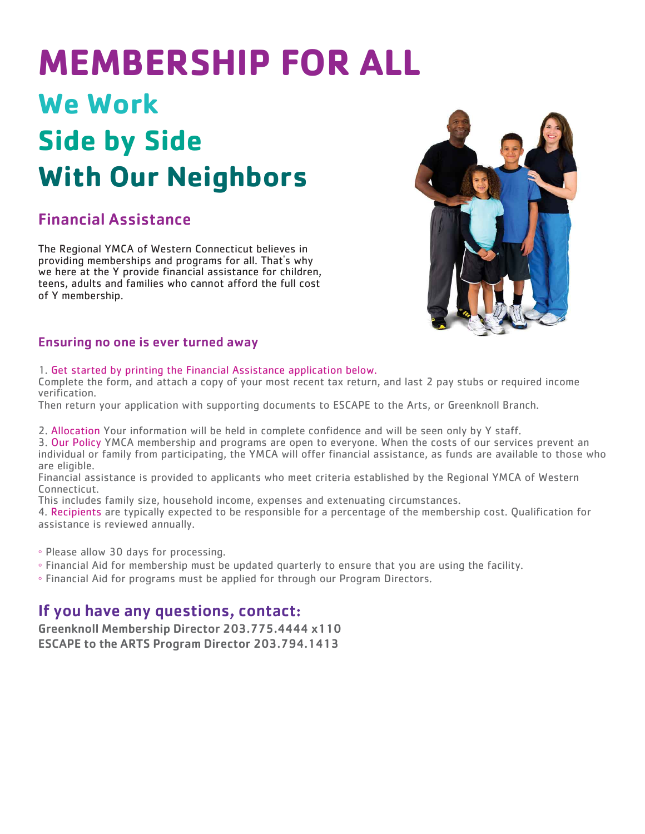# **MEMBERSHIP FOR ALL We Work Side by Side With Our Neighbors**

## Financial Assistance

The Regional YMCA of Western Connecticut believes in providing memberships and programs for all. That's why we here at the Y provide financial assistance for children, teens, adults and families who cannot afford the full cost of Y membership.



### Ensuring no one is ever turned away

### 1. Get started by printing the Financial Assistance application below.

Complete the form, and attach a copy of your most recent tax return, and last 2 pay stubs or required income verification.

Then return your application with supporting documents to ESCAPE to the Arts, or Greenknoll Branch.

2. Allocation Your information will be held in complete confidence and will be seen only by Y staff.

3. Our Policy YMCA membership and programs are open to everyone. When the costs of our services prevent an individual or family from participating, the YMCA will offer financial assistance, as funds are available to those who are eligible.

Financial assistance is provided to applicants who meet criteria established by the Regional YMCA of Western Connecticut.

This includes family size, household income, expenses and extenuating circumstances.

4. Recipients are typically expected to be responsible for a percentage of the membership cost. Qualification for assistance is reviewed annually.

◦ Please allow 30 days for processing.

◦ Financial Aid for membership must be updated quarterly to ensure that you are using the facility.

◦ Financial Aid for programs must be applied for through our Program Directors.

## If you have any questions, contact:

Greenknoll Membership Director 203.775.4444 x110 ESCAPE to the ARTS Program Director 203.794.1413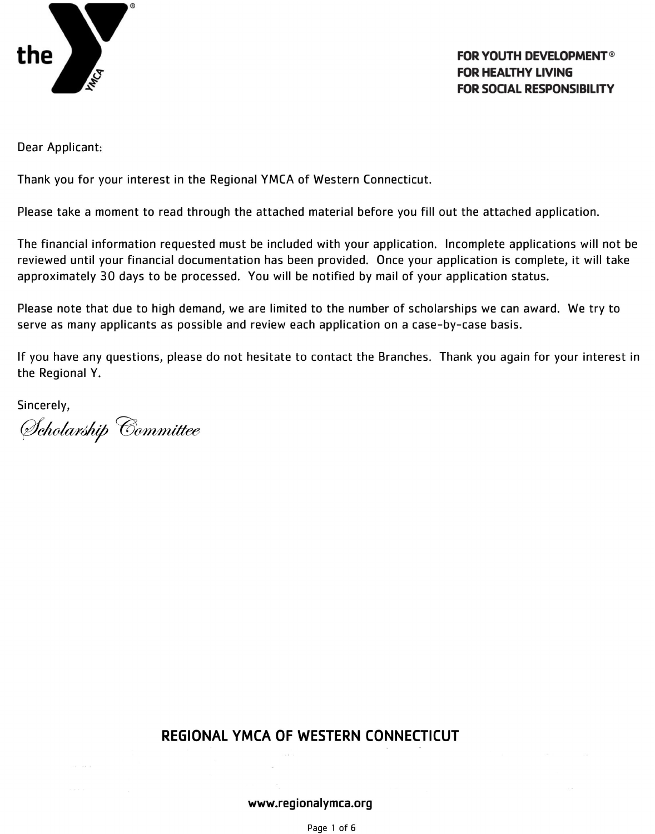

### **FOR YOUTH DEVELOPMENT<sup>®</sup> FOR HEALTHY LIVING FOR SOCIAL RESPONSIBILITY**

Dear Applicant:

Thank you for your interest in the Regional YMCA of Western Connecticut.

Please take a moment to read through the attached material before you fill out the attached application.

The financial information requested must be included with your application. Incomplete applications will not be reviewed until your financial documentation has been provided. Once your application is complete, it will take approximately 30 days to be processed. You will be notified by mail of your application status.

Please note that due to high demand, we are limited to the number of scholarships we can award. We try to serve as many applicants as possible and review each application on a case-by-case basis.

If you have any questions, please do not hesitate to contact the Branches. Thank you again for your interest in the Regional Y.

Sincerely,

Scholarship Committee

## REGIONAL YMCA OF WESTERN CONNECTICUT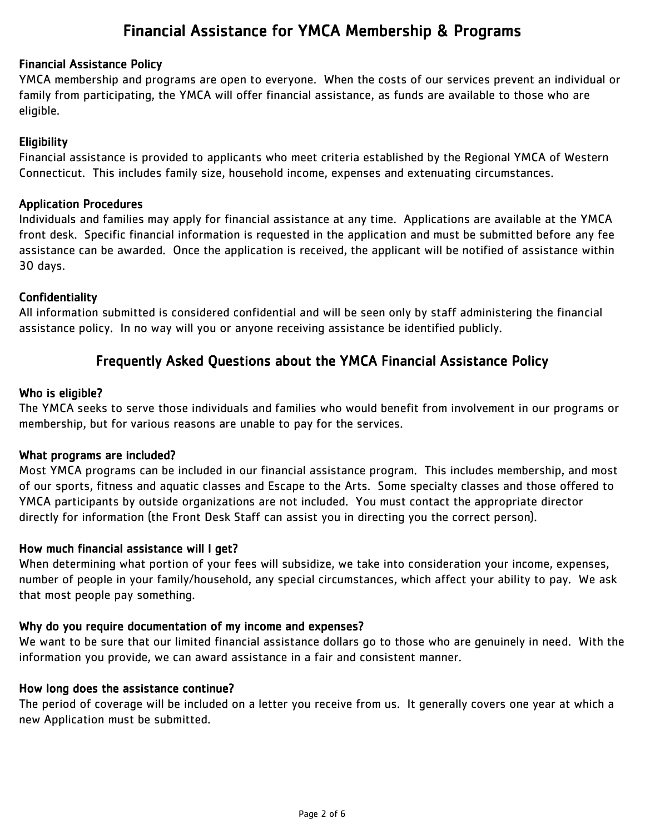## Financial Assistance for YMCA Membership & Programs

### Financial Assistance Policy

YMCA membership and programs are open to everyone. When the costs of our services prevent an individual or family from participating, the YMCA will offer financial assistance, as funds are available to those who are eligible.

### Eligibility

Financial assistance is provided to applicants who meet criteria established by the Regional YMCA of Western Connecticut. This includes family size, household income, expenses and extenuating circumstances.

### Application Procedures

Individuals and families may apply for financial assistance at any time. Applications are available at the YMCA front desk. Specific financial information is requested in the application and must be submitted before any fee assistance can be awarded. Once the application is received, the applicant will be notified of assistance within 30 days.

### Confidentiality

All information submitted is considered confidential and will be seen only by staff administering the financial assistance policy. In no way will you or anyone receiving assistance be identified publicly.

## Frequently Asked Questions about the YMCA Financial Assistance Policy

### Who is eligible?

The YMCA seeks to serve those individuals and families who would benefit from involvement in our programs or membership, but for various reasons are unable to pay for the services.

### What programs are included?

Most YMCA programs can be included in our financial assistance program. This includes membership, and most of our sports, fitness and aquatic classes and Escape to the Arts. Some specialty classes and those offered to YMCA participants by outside organizations are not included. You must contact the appropriate director directly for information (the Front Desk Staff can assist you in directing you the correct person).

### How much financial assistance will I get?

When determining what portion of your fees will subsidize, we take into consideration your income, expenses, number of people in your family/household, any special circumstances, which affect your ability to pay. We ask that most people pay something.

### Why do you require documentation of my income and expenses?

We want to be sure that our limited financial assistance dollars go to those who are genuinely in need. With the information you provide, we can award assistance in a fair and consistent manner.

### How long does the assistance continue?

The period of coverage will be included on a letter you receive from us. It generally covers one year at which a new Application must be submitted.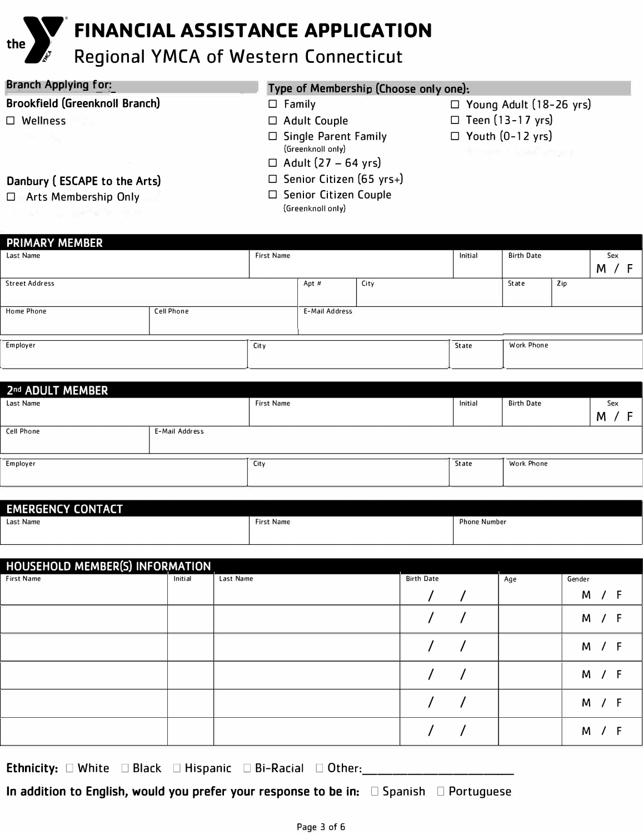# **FINANCIAL ASSISTANCE APPLICATION**

## **Regional YMCA of Western Connecticut**

## **Branch Agglying, for:**

## **Brookfield (Greenknoll Branch)**

D Wellness

**J**

**the** 

## **Type of Membership (Choose only one):**

- $\square$  Family
- D Adult Couple
- □ Single Parent Family (Greenknoll only)
- $\Box$  Adult (27 64 yrs)
- D Senior Citizen (65 yrs+)
- **Danbury ( ESCAPE to the Arts)**
- D Arts Membership Only
- 
- □ Senior Citizen Couple

(Greenknoll only)

- D Young Adult (18-26 yrs)
- $\square$  Teen (13-17 yrs)
- $\Box$  Youth (0-12 yrs)

| <b>PRIMARY MEMBER</b> |                   |                   |                       |         |                   |       |     |  |     |
|-----------------------|-------------------|-------------------|-----------------------|---------|-------------------|-------|-----|--|-----|
| Last Name             |                   | <b>First Name</b> |                       | Initial | <b>Birth Date</b> |       | Sex |  |     |
|                       |                   |                   |                       |         |                   | M     |     |  | / F |
| <b>Street Address</b> |                   |                   | City<br>Apt #         |         |                   | State | Zip |  |     |
|                       |                   |                   |                       |         |                   |       |     |  |     |
| Home Phone            | <b>Cell Phone</b> |                   | <b>E-Mail Address</b> |         |                   |       |     |  |     |
|                       |                   |                   |                       |         |                   |       |     |  |     |
|                       |                   |                   |                       |         |                   |       |     |  |     |
| Employer<br>City      |                   |                   |                       | State   | <b>Work Phone</b> |       |     |  |     |
|                       |                   |                   |                       |         |                   |       |     |  |     |

| 2nd ADULT MEMBER  |                |                   |         |                   |        |  |  |  |
|-------------------|----------------|-------------------|---------|-------------------|--------|--|--|--|
| Last Name         |                | <b>First Name</b> | Initial | <b>Birth Date</b> | Sex    |  |  |  |
|                   |                |                   |         |                   | M<br>F |  |  |  |
| <b>Cell Phone</b> | E-Mail Address |                   |         |                   |        |  |  |  |
|                   |                |                   |         |                   |        |  |  |  |
| Employer          |                | City              | State   | <b>Work Phone</b> |        |  |  |  |
|                   |                |                   |         |                   |        |  |  |  |
|                   |                |                   |         |                   |        |  |  |  |

| <b>EMERGENCY CONTACT</b> |                   |                     |
|--------------------------|-------------------|---------------------|
| Last Name                | <b>First Name</b> | <b>Phone Number</b> |
|                          |                   |                     |

| HOUSEHOLD MEMBER(S) INFORMATION |         |           |                   |     |        |  |
|---------------------------------|---------|-----------|-------------------|-----|--------|--|
| <b>First Name</b>               | Initial | Last Name | <b>Birth Date</b> | Age | Gender |  |
|                                 |         |           |                   |     | М      |  |
|                                 |         |           |                   |     | M      |  |
|                                 |         |           |                   |     | M      |  |
|                                 |         |           |                   |     | М      |  |
|                                 |         |           |                   |     | M      |  |
|                                 |         |           |                   |     | M      |  |

Ethnicity:  $\square$  White  $\square$  Black  $\square$  Hispanic  $\square$  Bi-Racial  $\square$  Other:

**In addition to English, would you prefer your response to be in:**  $\Box$  Spanish  $\Box$  Portuguese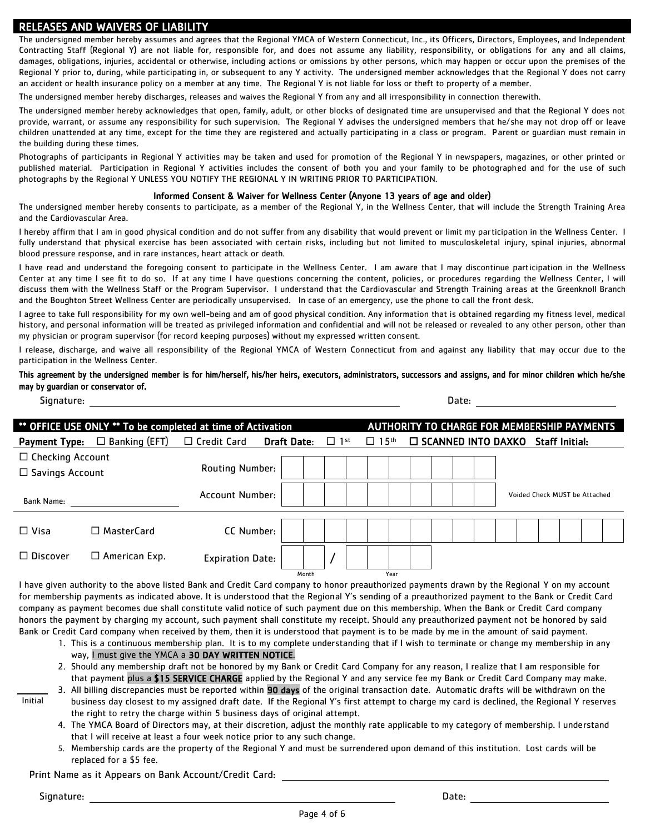### RELEASES AND WAIVERS OF LIABILITY

The undersigned member hereby assumes and agrees that the Regional YMCA of Western Connecticut, Inc., its Officers, Directors, Employees, and Independent Contracting Staff (Regional Y) are not liable for, responsible for, and does not assume any liability, responsibility, or obligations for any and all claims, damages, obligations, injuries, accidental or otherwise, including actions or omissions by other persons, which may happen or occur upon the premises of the Regional Y prior to, during, while participating in, or subsequent to any Y activity. The undersigned member acknowledges that the Regional Y does not carry an accident or health insurance policy on a member at any time. The Regional Y is not liable for loss or theft to property of a member.

The undersigned member hereby discharges, releases and waives the Regional Y from any and all irresponsibility in connection therewith.

The undersigned member hereby acknowledges that open, family, adult, or other blocks of designated time are unsupervised and that the Regional Y does not provide, warrant, or assume any responsibility for such supervision. The Regional Y advises the undersigned members that he/she may not drop off or leave children unattended at any time, except for the time they are registered and actually participating in a class or program. Parent or guardian must remain in the building during these times.

Photographs of participants in Regional Y activities may be taken and used for promotion of the Regional Y in newspapers, magazines, or other printed or published material. Participation in Regional Y activities includes the consent of both you and your family to be photographed and for the use of such photographs by the Regional Y UNLESS YOU NOTIFY THE REGIONAL Y IN WRITING PRIOR TO PARTICIPATION.

### Informed Consent & Waiver for Wellness Center (Anyone 13 years of age and older)

The undersigned member hereby consents to participate, as a member of the Regional Y, in the Wellness Center, that will include the Strength Training Area and the Cardiovascular Area.

I hereby affirm that I am in good physical condition and do not suffer from any disability that would prevent or limit my participation in the Wellness Center. I fully understand that physical exercise has been associated with certain risks, including but not limited to musculoskeletal injury, spinal injuries, abnormal blood pressure response, and in rare instances, heart attack or death.

I have read and understand the foregoing consent to participate in the Wellness Center. I am aware that I may discontinue participation in the Wellness Center at any time I see fit to do so. If at any time I have questions concerning the content, policies, or procedures regarding the Wellness Center, I will discuss them with the Wellness Staff or the Program Supervisor. I understand that the Cardiovascular and Strength Training areas at the Greenknoll Branch and the Boughton Street Wellness Center are periodically unsupervised. In case of an emergency, use the phone to call the front desk.

I agree to take full responsibility for my own well-being and am of good physical condition. Any information that is obtained regarding my fitness level, medical history, and personal information will be treated as privileged information and confidential and will not be released or revealed to any other person, other than my physician or program supervisor (for record keeping purposes) without my expressed written consent.

I release, discharge, and waive all responsibility of the Regional YMCA of Western Connecticut from and against any liability that may occur due to the participation in the Wellness Center.

### This agreement by the undersigned member is for him/herself, his/her heirs, executors, administrators, successors and assigns, and for minor children which he/she may by guardian or conservator of.

| Signature:                                        |                      |                                                             |                    |            |  | Date:                                              |      |  |  |  |  |                              |                               |  |                       |  |  |
|---------------------------------------------------|----------------------|-------------------------------------------------------------|--------------------|------------|--|----------------------------------------------------|------|--|--|--|--|------------------------------|-------------------------------|--|-----------------------|--|--|
|                                                   |                      | ** OFFICE USE ONLY ** To be completed at time of Activation |                    |            |  | <b>AUTHORITY TO CHARGE FOR MEMBERSHIP PAYMENTS</b> |      |  |  |  |  |                              |                               |  |                       |  |  |
| Payment Type:                                     | $\Box$ Banking (EFT) | $\Box$ Credit Card                                          | <b>Draft Date:</b> | $\Box$ 1st |  | $\Box$ 15 <sup>th</sup>                            |      |  |  |  |  | $\square$ SCANNED INTO DAXKO |                               |  | <b>Staff Initial:</b> |  |  |
| $\Box$ Checking Account<br>$\Box$ Savings Account |                      | <b>Routing Number:</b>                                      |                    |            |  |                                                    |      |  |  |  |  |                              |                               |  |                       |  |  |
| <b>Bank Name:</b>                                 |                      | Account Number:                                             |                    |            |  |                                                    |      |  |  |  |  |                              | Voided Check MUST be Attached |  |                       |  |  |
| $\Box$ Visa                                       | $\Box$ MasterCard    | CC Number:                                                  |                    |            |  |                                                    |      |  |  |  |  |                              |                               |  |                       |  |  |
| $\Box$ Discover                                   | $\Box$ American Exp. | <b>Expiration Date:</b>                                     |                    |            |  |                                                    |      |  |  |  |  |                              |                               |  |                       |  |  |
|                                                   |                      |                                                             | Month              |            |  |                                                    | Year |  |  |  |  |                              |                               |  |                       |  |  |

I have given authority to the above listed Bank and Credit Card company to honor preauthorized payments drawn by the Regional Y on my account for membership payments as indicated above. It is understood that the Regional Y's sending of a preauthorized payment to the Bank or Credit Card company as payment becomes due shall constitute valid notice of such payment due on this membership. When the Bank or Credit Card company honors the payment by charging my account, such payment shall constitute my receipt. Should any preauthorized payment not be honored by said Bank or Credit Card company when received by them, then it is understood that payment is to be made by me in the amount of said payment.

- 1. This is a continuous membership plan. It is to my complete understanding that if I wish to terminate or change my membership in any way, I must give the YMCA a 30 DAY WRITTEN NOTICE.
- 2. Should any membership draft not be honored by my Bank or Credit Card Company for any reason, I realize that I am responsible for that payment plus a \$15 SERVICE CHARGE applied by the Regional Y and any service fee my Bank or Credit Card Company may make. 3. All billing discrepancies must be reported within 90 days of the original transaction date. Automatic drafts will be withdrawn on the

Initial

- business day closest to my assigned draft date. If the Regional Y's first attempt to charge my card is declined, the Regional Y reserves the right to retry the charge within 5 business days of original attempt.
	- 4. The YMCA Board of Directors may, at their discretion, adjust the monthly rate applicable to my category of membership. I understand that I will receive at least a four week notice prior to any such change.
	- 5. Membership cards are the property of the Regional Y and must be surrendered upon demand of this institution. Lost cards will be replaced for a \$5 fee.

### Print Name as it Appears on Bank Account/Credit Card:

Signature: Date: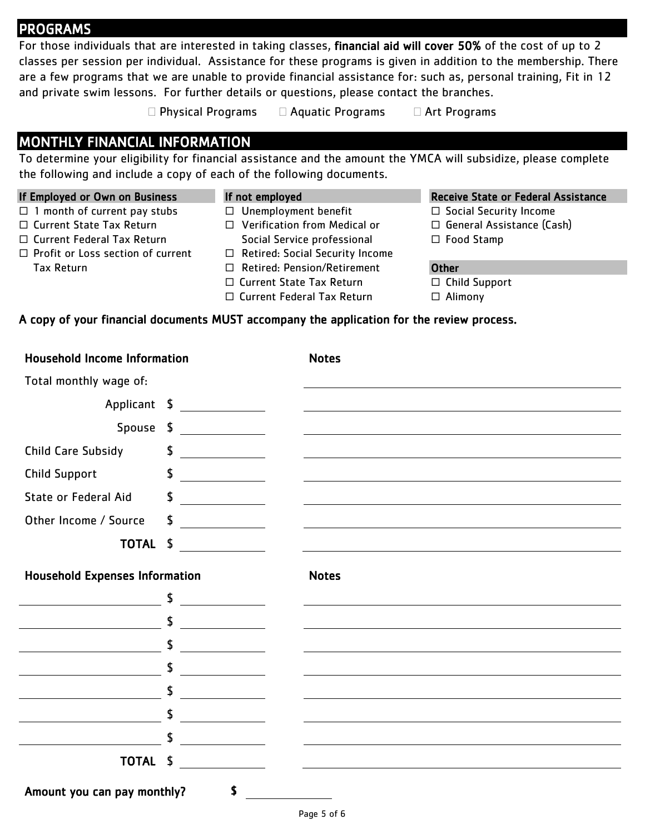## PROGRAMS

For those individuals that are interested in taking classes, financial aid will cover 50% of the cost of up to 2 classes per session per individual. Assistance for these programs is given in addition to the membership. There are a few programs that we are unable to provide financial assistance for: such as, personal training, Fit in 12 and private swim lessons. For further details or questions, please contact the branches.

 $\Box$  Physical Programs  $\Box$  Aquatic Programs  $\Box$  Art Programs

## MONTHLY FINANCIAL INFORMATION

To determine your eligibility for financial assistance and the amount the YMCA will subsidize, please complete the following and include a copy of each of the following documents.

 $\Box$  1 month of current pay stubs

 $\Box$  Profit or Loss section of current

□ Current State Tax Return □ Current Federal Tax Return

Tax Return

- □ Unemployment benefit □ Verification from Medical or
	- Social Service professional
	- □ Retired: Social Security Income
	- □ Retired: Pension/Retirement
	- □ Current State Tax Return
	- □ Current Federal Tax Return

### If Employed or Own on Business If not employed Receive State or Federal Assistance

- $\Box$  Social Security Income
- □ General Assistance (Cash)
- □ Food Stamp

### **Other**

□ Child Support

Alimony

### A copy of your financial documents MUST accompany the application for the review process.

| <b>Household Income Information</b>   |                                                                           | <b>Notes</b> |
|---------------------------------------|---------------------------------------------------------------------------|--------------|
| Total monthly wage of:                |                                                                           |              |
|                                       |                                                                           |              |
| Spouse \$                             |                                                                           |              |
| <b>Child Care Subsidy</b>             | \$                                                                        |              |
| <b>Child Support</b>                  | \$<br>$\overline{\phantom{a}}$ . The contract of $\overline{\phantom{a}}$ |              |
| State or Federal Aid                  | \$                                                                        |              |
| Other Income / Source                 | \$                                                                        |              |
| <b>TOTAL</b>                          | $\frac{1}{2}$                                                             |              |
| <b>Household Expenses Information</b> |                                                                           | <b>Notes</b> |
|                                       | \$                                                                        |              |
|                                       | \$                                                                        |              |
|                                       | \$                                                                        |              |
|                                       | \$                                                                        |              |
|                                       | \$                                                                        |              |
|                                       | \$                                                                        |              |
|                                       | \$                                                                        |              |
| <b>TOTAL</b>                          | \$<br><u>a sa salawang pangangang panganggang pang</u>                    |              |
| Amount you can pay monthly?           | S                                                                         |              |